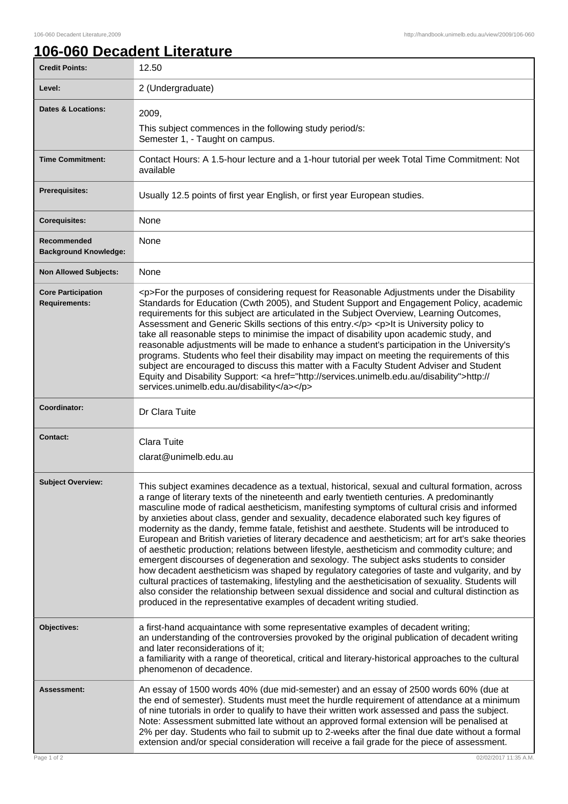## **106-060 Decadent Literature**

| <b>Credit Points:</b>                             | 12.50                                                                                                                                                                                                                                                                                                                                                                                                                                                                                                                                                                                                                                                                                                                                                                                                                                                                                                                                                                                                                                                                                                                                                                         |
|---------------------------------------------------|-------------------------------------------------------------------------------------------------------------------------------------------------------------------------------------------------------------------------------------------------------------------------------------------------------------------------------------------------------------------------------------------------------------------------------------------------------------------------------------------------------------------------------------------------------------------------------------------------------------------------------------------------------------------------------------------------------------------------------------------------------------------------------------------------------------------------------------------------------------------------------------------------------------------------------------------------------------------------------------------------------------------------------------------------------------------------------------------------------------------------------------------------------------------------------|
| Level:                                            | 2 (Undergraduate)                                                                                                                                                                                                                                                                                                                                                                                                                                                                                                                                                                                                                                                                                                                                                                                                                                                                                                                                                                                                                                                                                                                                                             |
| <b>Dates &amp; Locations:</b>                     | 2009,<br>This subject commences in the following study period/s:<br>Semester 1, - Taught on campus.                                                                                                                                                                                                                                                                                                                                                                                                                                                                                                                                                                                                                                                                                                                                                                                                                                                                                                                                                                                                                                                                           |
| <b>Time Commitment:</b>                           | Contact Hours: A 1.5-hour lecture and a 1-hour tutorial per week Total Time Commitment: Not<br>available                                                                                                                                                                                                                                                                                                                                                                                                                                                                                                                                                                                                                                                                                                                                                                                                                                                                                                                                                                                                                                                                      |
| <b>Prerequisites:</b>                             | Usually 12.5 points of first year English, or first year European studies.                                                                                                                                                                                                                                                                                                                                                                                                                                                                                                                                                                                                                                                                                                                                                                                                                                                                                                                                                                                                                                                                                                    |
| <b>Corequisites:</b>                              | None                                                                                                                                                                                                                                                                                                                                                                                                                                                                                                                                                                                                                                                                                                                                                                                                                                                                                                                                                                                                                                                                                                                                                                          |
| Recommended<br><b>Background Knowledge:</b>       | None                                                                                                                                                                                                                                                                                                                                                                                                                                                                                                                                                                                                                                                                                                                                                                                                                                                                                                                                                                                                                                                                                                                                                                          |
| <b>Non Allowed Subjects:</b>                      | None                                                                                                                                                                                                                                                                                                                                                                                                                                                                                                                                                                                                                                                                                                                                                                                                                                                                                                                                                                                                                                                                                                                                                                          |
| <b>Core Participation</b><br><b>Requirements:</b> | <p>For the purposes of considering request for Reasonable Adjustments under the Disability<br/>Standards for Education (Cwth 2005), and Student Support and Engagement Policy, academic<br/>requirements for this subject are articulated in the Subject Overview, Learning Outcomes,<br/>Assessment and Generic Skills sections of this entry.</p> <p>It is University policy to<br/>take all reasonable steps to minimise the impact of disability upon academic study, and<br/>reasonable adjustments will be made to enhance a student's participation in the University's<br/>programs. Students who feel their disability may impact on meeting the requirements of this<br/>subject are encouraged to discuss this matter with a Faculty Student Adviser and Student<br/>Equity and Disability Support: &lt; a href="http://services.unimelb.edu.au/disability"&gt;http://<br/>services.unimelb.edu.au/disability</p>                                                                                                                                                                                                                                                  |
| Coordinator:                                      | Dr Clara Tuite                                                                                                                                                                                                                                                                                                                                                                                                                                                                                                                                                                                                                                                                                                                                                                                                                                                                                                                                                                                                                                                                                                                                                                |
| <b>Contact:</b>                                   | <b>Clara Tuite</b><br>clarat@unimelb.edu.au                                                                                                                                                                                                                                                                                                                                                                                                                                                                                                                                                                                                                                                                                                                                                                                                                                                                                                                                                                                                                                                                                                                                   |
| <b>Subject Overview:</b>                          | This subject examines decadence as a textual, historical, sexual and cultural formation, across<br>a range of literary texts of the nineteenth and early twentieth centuries. A predominantly<br>masculine mode of radical aestheticism, manifesting symptoms of cultural crisis and informed<br>by anxieties about class, gender and sexuality, decadence elaborated such key figures of<br>modernity as the dandy, femme fatale, fetishist and aesthete. Students will be introduced to<br>European and British varieties of literary decadence and aestheticism; art for art's sake theories<br>of aesthetic production; relations between lifestyle, aestheticism and commodity culture; and<br>emergent discourses of degeneration and sexology. The subject asks students to consider<br>how decadent aestheticism was shaped by regulatory categories of taste and vulgarity, and by<br>cultural practices of tastemaking, lifestyling and the aestheticisation of sexuality. Students will<br>also consider the relationship between sexual dissidence and social and cultural distinction as<br>produced in the representative examples of decadent writing studied. |
| Objectives:                                       | a first-hand acquaintance with some representative examples of decadent writing;<br>an understanding of the controversies provoked by the original publication of decadent writing<br>and later reconsiderations of it;<br>a familiarity with a range of theoretical, critical and literary-historical approaches to the cultural<br>phenomenon of decadence.                                                                                                                                                                                                                                                                                                                                                                                                                                                                                                                                                                                                                                                                                                                                                                                                                 |
| Assessment:                                       | An essay of 1500 words 40% (due mid-semester) and an essay of 2500 words 60% (due at<br>the end of semester). Students must meet the hurdle requirement of attendance at a minimum<br>of nine tutorials in order to qualify to have their written work assessed and pass the subject.<br>Note: Assessment submitted late without an approved formal extension will be penalised at<br>2% per day. Students who fail to submit up to 2-weeks after the final due date without a formal<br>extension and/or special consideration will receive a fail grade for the piece of assessment.                                                                                                                                                                                                                                                                                                                                                                                                                                                                                                                                                                                        |
| Page 1 of 2                                       | 02/02/2017 11:35 A.M.                                                                                                                                                                                                                                                                                                                                                                                                                                                                                                                                                                                                                                                                                                                                                                                                                                                                                                                                                                                                                                                                                                                                                         |